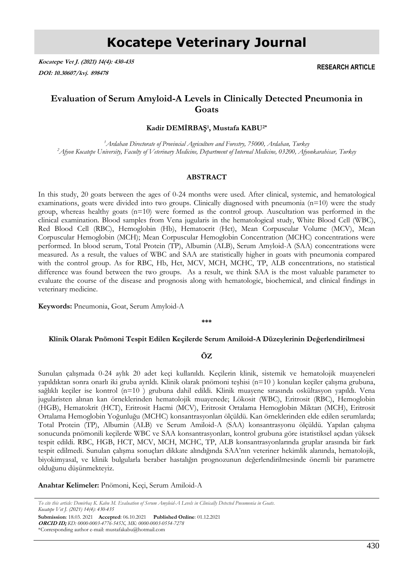**Kocatepe Vet J. (2021) 14(4): 430-435 DOI: 10.30607/kvj. 898478**

**RESEARCH ARTICLE**

# **Evaluation of Serum Amyloid-A Levels in Clinically Detected Pneumonia in Goats**

**Kadir DEMİRBAŞ<sup>1</sup> , Mustafa KABU2\***

*<sup>1</sup>Ardahan Directorate of Provincial Agriculture and Forestry, 75000, Ardahan, Turkey <sup>2</sup>Afyon Kocatepe University, Faculty of Veterinary Medicine, Department of Internal Medicine, 03200, Afyonkarahisar, Turkey*

### **ABSTRACT**

In this study, 20 goats between the ages of 0-24 months were used. After clinical, systemic, and hematological examinations, goats were divided into two groups. Clinically diagnosed with pneumonia  $(n=10)$  were the study group, whereas healthy goats (n=10) were formed as the control group. Auscultation was performed in the clinical examination. Blood samples from Vena jugularis in the hematological study, White Blood Cell (WBC), Red Blood Cell (RBC), Hemoglobin (Hb), Hematocrit (Hct), Mean Corpuscular Volume (MCV), Mean Corpuscular Hemoglobin (MCH); Mean Corpuscular Hemoglobin Concentration (MCHC) concentrations were performed. In blood serum, Total Protein (TP), Albumin (ALB), Serum Amyloid-A (SAA) concentrations were measured. As a result, the values of WBC and SAA are statistically higher in goats with pneumonia compared with the control group. As for RBC, Hb, Hct, MCV, MCH, MCHC, TP, ALB concentrations, no statistical difference was found between the two groups. As a result, we think SAA is the most valuable parameter to evaluate the course of the disease and prognosis along with hematologic, biochemical, and clinical findings in veterinary medicine.

**Keywords:** Pneumonia, Goat, Serum Amyloid-A

**\*\*\***

#### **Klinik Olarak Pnömoni Tespit Edilen Keçilerde Serum Amiloid-A Düzeylerinin Değerlendirilmesi**

## **ÖZ**

Sunulan çalışmada 0-24 aylık 20 adet keçi kullanıldı. Keçilerin klinik, sistemik ve hematolojik muayeneleri yapıldıktan sonra onarlı iki gruba ayrıldı. Klinik olarak pnömoni teşhisi (n=10 ) konulan keçiler çalışma grubuna, sağlıklı keçiler ise kontrol (n=10 ) grubuna dahil edildi. Klinik muayene sırasında oskültasyon yapıldı. Vena jugularisten alınan kan örneklerinden hematolojik muayenede; Lökosit (WBC), Eritrosit (RBC), Hemoglobin (HGB), Hematokrit (HCT), Eritrosit Hacmi (MCV), Eritrosit Ortalama Hemoglobin Miktarı (MCH), Eritrosit Ortalama Hemoglobin Yoğunluğu (MCHC) konsantrasyonları ölçüldü. Kan örneklerinden elde edilen serumlarda; Total Protein (TP), Albumin (ALB) ve Serum Amiloid-A (SAA) konsantrasyonu ölçüldü. Yapılan çalışma sonucunda pnömonili keçilerde WBC ve SAA konsantrasyonları, kontrol grubuna göre istatistiksel açıdan yüksek tespit edildi. RBC, HGB, HCT, MCV, MCH, MCHC, TP, ALB konsantrasyonlarında gruplar arasında bir fark tespit edilmedi. Sunulan çalışma sonuçları dikkate alındığında SAA'nın veteriner hekimlik alanında, hematolojik, biyokimyasal, ve klinik bulgularla beraber hastalığın prognozunun değerlendirilmesinde önemli bir parametre olduğunu düşünmekteyiz.

**Anahtar Kelimeler:** Pnömoni, Keçi, Serum Amiloid-A

*To cite this article: Demirbaş K. Kabu M. Evaluation of Serum Amyloid-A Levels in Clinically Detected Pneumonia in Goats. Kocatepe Vet J. (2021) 14(4): 430-435*

**Submission**: 18.03. 2021 **Accepted**: 06.10.2021 **Published Online**: 01.12.2021 **ORCID ID;** *KD: 0000-0003-4776-545X, MK: 0000-0003-0554-7278* \*Corresponding author e-mail: mustafakabu@hotmail.com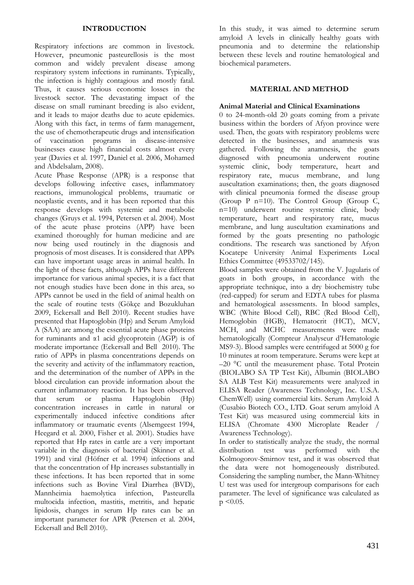## **INTRODUCTION**

Respiratory infections are common in livestock. However, pneumonic pasteurellosis is the most common and widely prevalent disease among respiratory system infections in ruminants. Typically, the infection is highly contagious and mostly fatal. Thus, it causes serious economic losses in the livestock sector. The devastating impact of the disease on small ruminant breeding is also evident, and it leads to major deaths due to acute epidemics. Along with this fact, in terms of farm management, the use of chemotherapeutic drugs and intensification of vaccination programs in disease-intensive businesses cause high financial costs almost every year (Davies et al. 1997, Daniel et al. 2006, Mohamed and Abdelsalam, 2008).

Acute Phase Response (APR) is a response that develops following infective cases, inflammatory reactions, immunological problems, traumatic or neoplastic events, and it has been reported that this response develops with systemic and metabolic changes (Gruys et al. 1994, Petersen et al. 2004). Most of the acute phase proteins (APP) have been examined thoroughly for human medicine and are now being used routinely in the diagnosis and prognosis of most diseases. It is considered that APPs can have important usage areas in animal health. In the light of these facts, although APPs have different importance for various animal species, it is a fact that not enough studies have been done in this area, so APPs cannot be used in the field of animal health on the scale of routine tests (Gökçe and Bozukluhan 2009, Eckersall and Bell 2010). Recent studies have presented that Haptoglobin (Hp) and Serum Amyloid A (SAA) are among the essential acute phase proteins for ruminants and  $\alpha$ 1 acid glycoprotein (AGP) is of moderate importance (Eckersall and Bell 2010). The ratio of APPs in plasma concentrations depends on the severity and activity of the inflammatory reaction, and the determination of the number of APPs in the blood circulation can provide information about the current inflammatory reaction. It has been observed that serum or plasma Haptoglobin (Hp) concentration increases in cattle in natural or experimentally induced infective conditions after inflammatory or traumatic events (Alsemgeest 1994, Heegard et al. 2000, Fisher et al. 2001). Studies have reported that Hp rates in cattle are a very important variable in the diagnosis of bacterial (Skinner et al. 1991) and viral (Höfner et al. 1994) infections and that the concentration of Hp increases substantially in these infections. It has been reported that in some infections such as Bovine Viral Diarrhea (BVD), Mannheimia haemolytica infection, Pasteurella multocida infection, mastitis, metritis, and hepatic lipidosis, changes in serum Hp rates can be an important parameter for APR (Petersen et al. 2004, Eckersall and Bell 2010).

In this study, it was aimed to determine serum amyloid A levels in clinically healthy goats with pneumonia and to determine the relationship between these levels and routine hematological and biochemical parameters.

## **MATERIAL AND METHOD**

## **Animal Material and Clinical Examinations**

0 to 24-month-old 20 goats coming from a private business within the borders of Afyon province were used. Then, the goats with respiratory problems were detected in the businesses, and anamnesis was gathered. Following the anamnesis, the goats diagnosed with pneumonia underwent routine systemic clinic, body temperature, heart and respiratory rate, mucus membrane, and lung auscultation examinations; then, the goats diagnosed with clinical pneumonia formed the disease group (Group P n=10). The Control Group (Group C, n=10) underwent routine systemic clinic, body temperature, heart and respiratory rate, mucus membrane, and lung auscultation examinations and formed by the goats presenting no pathologic conditions. The research was sanctioned by Afyon Kocatepe University Animal Experiments Local Ethics Committee (49533702/145).

Blood samples were obtained from the V. Jugularis of goats in both groups, in accordance with the appropriate technique, into a dry biochemistry tube (red-capped) for serum and EDTA tubes for plasma and hematological assessments. In blood samples, WBC (White Blood Cell), RBC (Red Blood Cell), Hemoglobin (HGB), Hematocrit (HCT), MCV, MCH, and MCHC measurements were made hematologically (Compteur Analyseur d'Hematologie MS9-3). Blood samples were centrifuged at 5000 g for 10 minutes at room temperature. Serums were kept at –20 °C until the measurement phase. Total Protein (BIOLABO SA TP Test Kit), Albumin (BIOLABO SA ALB Test Kit) measurements were analyzed in ELISA Reader (Awareness Technology, Inc. U.S.A. ChemWell) using commercial kits. Serum Amyloid A (Cusabio Biotech CO., LTD. Goat serum amyloid A Test Kit) was measured using commercial kits in ELISA (Chromate 4300 Microplate Reader / Awareness Technology).

In order to statistically analyze the study, the normal distribution test was performed with the Kolmogorov-Smirnov test, and it was observed that the data were not homogeneously distributed. Considering the sampling number, the Mann-Whitney U test was used for intergroup comparisons for each parameter. The level of significance was calculated as  $p \leq 0.05$ .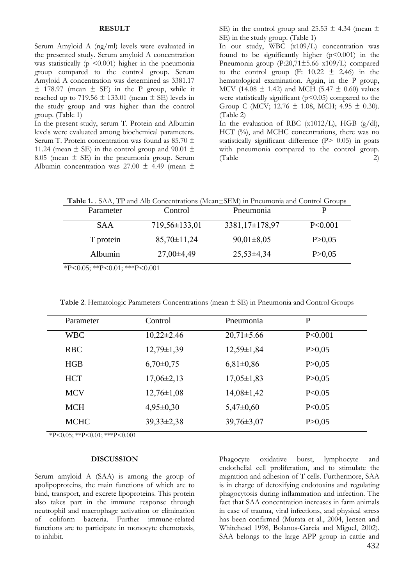#### **RESULT**

Serum Amyloid A (ng/ml) levels were evaluated in the presented study. Serum amyloid A concentration was statistically ( $p \leq 0.001$ ) higher in the pneumonia group compared to the control group. Serum Amyloid A concentration was determined as 3381.17  $\pm$  178.97 (mean  $\pm$  SE) in the P group, while it reached up to 719.56  $\pm$  133.01 (mean  $\pm$  SE) levels in the study group and was higher than the control group. (Table 1)

In the present study, serum T. Protein and Albumin levels were evaluated among biochemical parameters. Serum T. Protein concentration was found as 85.70 ± 11.24 (mean  $\pm$  SE) in the control group and 90.01  $\pm$ 8.05 (mean  $\pm$  SE) in the pneumonia group. Serum Albumin concentration was  $27.00 \pm 4.49$  (mean  $\pm$ 

SE) in the control group and 25.53  $\pm$  4.34 (mean  $\pm$ SE) in the study group. (Table 1)

In our study, WBC (x109/L) concentration was found to be significantly higher  $(p<0.001)$  in the Pneumonia group (P:20,71±5.66 x109/L) compared to the control group (F:  $10.22 \pm 2.46$ ) in the hematological examination. Again, in the P group, MCV (14.08  $\pm$  1.42) and MCH (5.47  $\pm$  0.60) values were statistically significant  $(p<0.05)$  compared to the Group C (MCV;  $12.76 \pm 1.08$ , MCH;  $4.95 \pm 0.30$ ). (Table 2)

In the evaluation of RBC (x1012/L), HGB (g/dl), HCT (%), and MCHC concentrations, there was no statistically significant difference (P> 0.05) in goats with pneumonia compared to the control group.  $(Table$  2)

|  | Table 1. SAA, TP and Alb Concentrations (Mean±SEM) in Pneumonia and Control Groups |
|--|------------------------------------------------------------------------------------|
|--|------------------------------------------------------------------------------------|

| Parameter  | Control           | Pneumonia      |          |
|------------|-------------------|----------------|----------|
| <b>SAA</b> | $719,56\pm133,01$ | 3381,17±178,97 | P<0.001  |
| T protein  | $85,70\pm11,24$   | $90,01\pm8,05$ | P > 0.05 |
| Albumin    | $27,00\pm4,49$    | $25,53\pm4,34$ | P > 0.05 |

\*P<0.05; \*\*P<0.01; \*\*\*P<0.001

**Table 2**. Hematologic Parameters Concentrations (mean ± SE) in Pneumonia and Control Groups

| Parameter   | Control          | Pneumonia        | $\mathbf{P}$ |
|-------------|------------------|------------------|--------------|
| <b>WBC</b>  | $10,22\pm2.46$   | $20,71 \pm 5.66$ | P<0.001      |
| <b>RBC</b>  | $12,79 \pm 1,39$ | $12,59\pm1,84$   | P > 0,05     |
| HGB         | $6,70\pm0,75$    | $6,81\pm0,86$    | P > 0,05     |
| <b>HCT</b>  | $17,06\pm2,13$   | $17,05 \pm 1,83$ | P > 0.05     |
| <b>MCV</b>  | $12,76 \pm 1,08$ | $14,08\pm1,42$   | P < 0.05     |
| <b>MCH</b>  | $4,95\pm0,30$    | $5,47\pm0,60$    | P<0.05       |
| <b>MCHC</b> | $39,33\pm2,38$   | $39,76 \pm 3,07$ | P > 0,05     |
|             |                  |                  |              |

 $*P<0.05$ ;  $*P<0.01$ ;  $**P<0.001$ 

#### **DISCUSSION**

Serum amyloid A (SAA) is among the group of apolipoproteins, the main functions of which are to bind, transport, and excrete lipoproteins. This protein also takes part in the immune response through neutrophil and macrophage activation or elimination of coliform bacteria. Further immune-related functions are to participate in monocyte chemotaxis, to inhibit.

432 Phagocyte oxidative burst, lymphocyte and endothelial cell proliferation, and to stimulate the migration and adhesion of T cells. Furthermore, SAA is in charge of detoxifying endotoxins and regulating phagocytosis during inflammation and infection. The fact that SAA concentration increases in farm animals in case of trauma, viral infections, and physical stress has been confirmed (Murata et al., 2004, Jensen and Whitehead 1998, Bolanos-Garcia and Miguel, 2002). SAA belongs to the large APP group in cattle and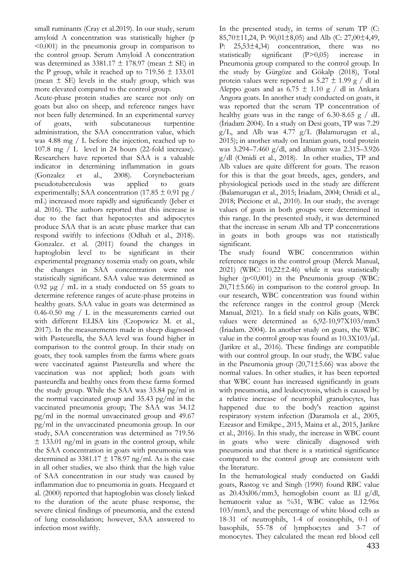small ruminants (Cray et al.2019). In our study, serum amyloid A concentration was statistically higher (p <0.001) in the pneumonia group in comparison to the control group. Serum Amyloid A concentration was determined as  $3381.17 \pm 178.97$  (mean  $\pm$  SE) in the P group, while it reached up to  $719.56 \pm 133.01$ (mean  $\pm$  SE) levels in the study group, which was more elevated compared to the control group.

Acute-phase protein studies are scarce not only on goats but also on sheep, and reference ranges have not been fully determined. In an experimental survey of goats, with subcutaneous turpentine administration, the SAA concentration value, which was 4.88 mg / L before the injection, reached up to 107.8 mg / L level in 24 hours (22-fold increase). Researchers have reported that SAA is a valuable indicator in determining inflammation in goats (Gonzalez et al., 2008). Corynebacterium pseudotuberculosis was applied to goats experimentally; SAA concentration (17.85  $\pm$  0.91 pg / mL) increased more rapidly and significantly (Jeber et al. 2016). The authors reported that this increase is due to the fact that hepatocytes and adipocytes produce SAA that is an acute phase marker that can respond swiftly to infections (Odhah et al., 2018). Gonzalez. et al. (2011) found the changes in haptoglobin level to be significant in their experimental pregnancy toxemia study on goats, while the changes in SAA concentration were not statistically significant. SAA value was determined as  $0.92 \mu$ g / mL in a study conducted on 55 goats to determine reference ranges of acute-phase proteins in healthy goats. SAA value in goats was determined as 0.46-0.50 mg / L in the measurements carried out with different ELISA kits (Czopowicz M. et al., 2017). In the measurements made in sheep diagnosed with Pasteurella, the SAA level was found higher in comparison to the control group. In their study on goats, they took samples from the farms where goats were vaccinated against Pasteurella and where the vaccination was not applied; both goats with pasteurella and healthy ones from these farms formed the study group. While the SAA was 33.84 pg/ml in the normal vaccinated group and 35.43 pg/ml in the vaccinated pneumonia group; The SAA was 34.12 pg/ml in the normal unvaccinated group and 49.67 pg/ml in the unvaccinated pneumonia group. In our study, SAA concentration was determined as 719.56  $\pm$  133.01 ng/ml in goats in the control group, while the SAA concentration in goats with pneumonia was determined as  $3381.17 \pm 178.97$  ng/ml. As is the case in all other studies, we also think that the high value of SAA concentration in our study was caused by inflammation due to pneumonia in goats. Heegaard et al. (2000) reported that haptoglobin was closely linked to the duration of the acute phase response, the severe clinical findings of pneumonia, and the extend of lung consolidation; however, SAA answered to infection most swiftly.

In the presented study, in terms of serum TP (C: 85,70±11,24, P: 90,01±8,05) and Alb (C: 27,00±4,49, P: 25,53±4,34) concentration, there was no statistically significant (P>0,05) increase in Pneumonia group compared to the control group. In the study by Gürgöze and Gökalp (2018), Total protein values were reported as  $5.27 \pm 1.99$  g / dl in Aleppo goats and as  $6.75 \pm 1.10$  g / dl in Ankara Angora goats. In another study conducted on goats, it was reported that the serum TP concentration of healthy goats was in the range of 6.30-8.65 g  $/$  dL (İriadam 2004). In a study on Desi goats, TP was 7.29 g/L, and Alb was 4.77 g/L (Balamurugan et al., 2015); in another study on Iranian goats, total protein was 3.294–7.460 g/dl, and albumin was 2.315–3.926 g/dl (Omidi et al., 2018). In other studies, TP and Alb values are quite different for goats. The reason for this is that the goat breeds, ages, genders, and physiological periods used in the study are different (Balamurugan et al., 2015; İriadam, 2004; Omidi et al., 2018; Piccione et al., 2010). In our study, the average values of goats in both groups were determined in this range. In the presented study, it was determined that the increase in serum Alb and TP concentrations in goats in both groups was not statistically significant.

The study found WBC concentration within reference ranges in the control group (Merck Manual, 2021) (WBC: 10,22±2.46) while it was statistically higher  $(p<0,001)$  in the Pneumonia group (WBC:  $20,71\pm5.66$ ) in comparison to the control group. In our research, WBC concentration was found within the reference ranges in the control group (Merck Manual, 2021). In a field study on Kilis goats, WBC values were determined as 6,92-10,97X103/mm3  $(Iriadam. 2004)$ . In another study on goats, the WBC value in the control group was found as  $10.3X103/\mu L$ (Jarikre et al., 2016). These findings are compatible with our control group. In our study, the WBC value in the Pneumonia group  $(20,71\pm5.66)$  was above the normal values. In other studies, it has been reported that WBC count has increased significantly in goats with pneumonia, and leukocytosis, which is caused by a relative increase of neutrophil granulocytes, has happened due to the body's reaction against respiratory system infection (Daramola et al., 2005, Ezeasor and Emikpe., 2015, Maina et al., 2015, Jarikre et al., 2016). In this study, the increase in WBC count in goats who were clinically diagnosed with pneumonia and that there is a statistical significance compared to the control group are consistent with the literature.

433 In the hematological study conducted on Gaddi goats, Rastog ve and Singh (1990) found RBC value as 20.43xl06/mm3, hemoglobin count as ll.l g/dl, hematocrit value as %31, WBC value as 12.96x 103/mm3, and the percentage of white blood cells as 18-31 of neutrophils, 1-4 of eosinophils, 0-1 of basophils, 55-78 of lymphocytes and 3-7 of monocytes. They calculated the mean red blood cell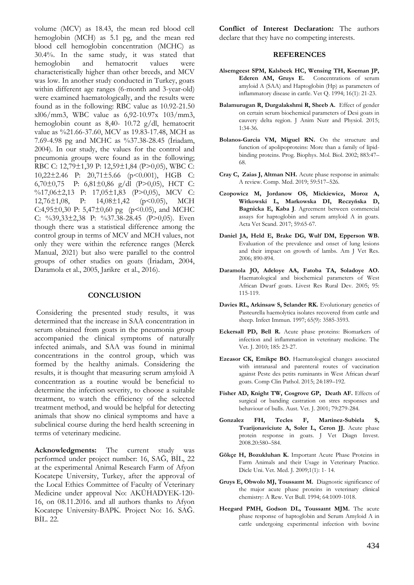volume (MCV) as 18.43, the mean red blood cell hemoglobin (MCH) as 5.1 pg, and the mean red blood cell hemoglobin concentration (MCHC) as 30.4%. In the same study, it was stated that hemoglobin and hematocrit values were characteristically higher than other breeds, and MCV was low. In another study conducted in Turkey, goats within different age ranges (6-month and 3-year-old) were examined haematologically, and the results were found as in the following: RBC value as 10.92-21.50 xl06/mm3, WBC value as 6,92-10.97x 103/mm3, hemoglobin count as 8,40- 10.72 g/dl, hematocrit value as %21.66-37.60, MCV as 19.83-17.48, MCH as 7.69-4.98 pg and MCHC as %37.38-28.45 (İriadam, 2004). In our study, the values for the control and pneumonia groups were found as in the following; RBC C: 12,79±1,39 P: 12,59±1,84 (P>0,05), WBC C: 10,22±2.46 P: 20,71±5.66 (p<0.001), HGB C: 6,70±0,75 P: 6,81±0,86 g/dl (P>0,05), HCT C: %17,06±2,13 P: 17,05±1,83 (P>0,05), MCV C: 12,76±1,08, P: 14,08±1,42 (p<0.05), MCH C:4,95 $\pm$ 0,30 P: 5,47 $\pm$ 0,60 pg (p<0.05), and MCHC C: %39,33±2,38 P: %37.38-28.45 (P>0,05). Even though there was a statistical difference among the control group in terms of MCV and MCH values, not only they were within the reference ranges (Merck Manual, 2021) but also were parallel to the control groups of other studies on goats (İriadam, 2004, Daramola et al., 2005, Jarikre et al., 2016).

## **CONCLUSION**

Considering the presented study results, it was determined that the increase in SAA concentration in serum obtained from goats in the pneumonia group accompanied the clinical symptoms of naturally infected animals, and SAA was found in minimal concentrations in the control group, which was formed by the healthy animals. Considering the results, it is thought that measuring serum amyloid A concentration as a routine would be beneficial to determine the infection severity, to choose a suitable treatment, to watch the efficiency of the selected treatment method, and would be helpful for detecting animals that show no clinical symptoms and have a subclinical course during the herd health screening in terms of veterinary medicine.

**Acknowledgments:** The current study was performed under project number: 16, SAĞ, BİL, 22 at the experimental Animal Research Farm of Afyon Kocatepe University, Turkey, after the approval of the Local Ethics Committee of Faculty of Veterinary Medicine under approval No: AKÜHADYEK-120- 16, on 08.11.2016. and all authors thanks to Afyon Kocatepe University-BAPK. Project No: 16. SAĞ. BİL. 22.

**Conflict of Interest Declaration:** The authors declare that they have no competing interests.

#### **REFERENCES**

- **Alsemgeest SPM, Kalsbeek HC, Wensing TH, Koeman JP, Ederen AM, Gruys E.** Concentrations of serum amyloid A (SAA) and Haptoglobin (Hp) as parameters of inflammatory disease in cattle. Vet Q. 1994; 16(1): 21-23.
- **Balamurugan R, Durgalakshmi R, Sheeb A.** Effect of gender on certain serum biochemical parameters of Desi goats in cauvery delta region. J Anim Nutr and Physiol. 2015; 1:34-36.
- **Bolanos-Garcia VM, Miguel RN.** On the structure and function of apolipoproteins: More than a family of lipidbinding proteins. Prog. Biophys. Mol. Biol. 2002; 883:47– 68.
- **Cray C, Zaias J, Altman NH.** Acute phase response in animals: A review. Comp. Med. 2019; 59:517–526.
- **Czopowicz M, Jordanow OS, Mickiewicz, Moroz A, Witkowski L, Markowska DI, Reczyńska D, Bagnicka E, Kaba J**. Agreement between commercial assays for haptoglobin and serum amyloid A in goats. Acta Vet Scand. 2017; 59:65-67.
- **Daniel JA, Held E, Brake DG, Wulf DM, Epperson WB.**  Evaluation of the prevalence and onset of lung lesions and their impact on growth of lambs. Am J Vet Res. 2006; 890-894.
- **Daramola JO, Adeloye AA, Fatoba TA, Soladoye AO.**  Haematological and biochemical parameters of West African Dwarf goats. Livest Res Rural Dev. 2005; 95: 115-119.
- **Davies RL, Arkinsaw S, Selander RK.** Evolutionary genetics of Pasteurella haemolytica isolates recovered from cattle and sheep. Infect Immun. 1997; 65(9): 3585-3593.
- **Eckersall PD, Bell R.** Acute phase proteins: Biomarkers of infection and inflammation in veterinary medicine. The Vet. J. 2010; 185: 23-27.
- **Ezeasor CK, Emikpe BO.** Haematological changes associated with intranasal and parenteral routes of vaccination against Peste des petits ruminants in West African dwarf goats. Comp Clin Pathol. 2015; 24:189–192.
- Fisher AD, Knight TW, Cosgrove GP, Death AF. Effects of surgical or banding castration on stres responses and behaviour of bulls. Aust. Vet. J. 2001; 79:279-284.
- **Gonzalez FH, Tecles F, Martinez-Subiela S, Tvarijonaviciute A, Soler L, Ceron JJ.** Acute phase protein response in goats. J Vet Diagn Invest. 2008.20:580–584.
- **Gökçe H, Bozukluhan K.** Important Acute Phase Proteins in Farm Animals and their Usage in Veterinary Practice. Dicle Uni. Vet. Med. J. 2009;1(1): 1- 14.
- **Gruys E, Obwolo MJ, Toussaınt M.** Diagnostic significance of the major acute phase proteins in veterinary clinical chemistry: A Rew. Vet Bull. 1994; 64:1009-1018.
- **Heegard PMH, Godson DL, Toussaınt MJM.** The acute phase response of haptoglobin and Serum Amyloid A in cattle undergoing experimental infection with bovine